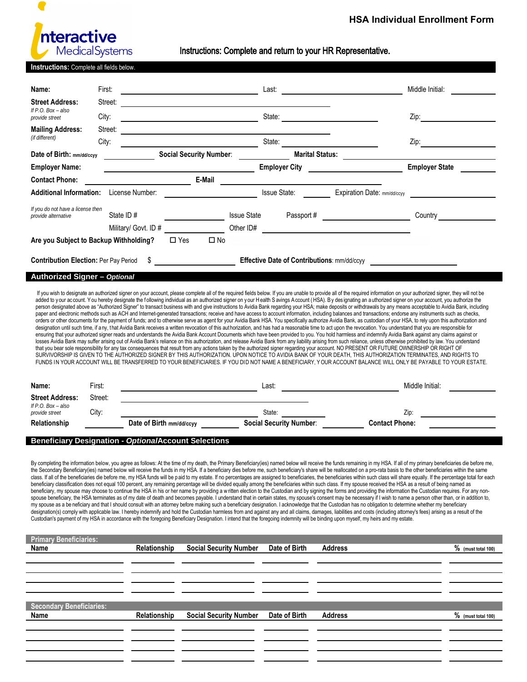

**HSA Individual Enrollment Form**

Instructions: Complete and return to your HR Representative.

| Instructions: Complete all fields below.                                                       |           |                          |                                                                                                                      |                    |                                |                                                                                                                                                                                                                                                                                                                                                                                                                                                                                                                                                                                                                                                                                                                                                                                                                                                                                                                                                                                                                                                                                                                                                                                                                                                                                                                                                                                                                                                                                                                                                                                                                        |                                                                                                                                                                                                                                                                                                                                                                                                                                                                                                                                                                                                                                                                                                                                                                                                                                                                                                                 |  |  |
|------------------------------------------------------------------------------------------------|-----------|--------------------------|----------------------------------------------------------------------------------------------------------------------|--------------------|--------------------------------|------------------------------------------------------------------------------------------------------------------------------------------------------------------------------------------------------------------------------------------------------------------------------------------------------------------------------------------------------------------------------------------------------------------------------------------------------------------------------------------------------------------------------------------------------------------------------------------------------------------------------------------------------------------------------------------------------------------------------------------------------------------------------------------------------------------------------------------------------------------------------------------------------------------------------------------------------------------------------------------------------------------------------------------------------------------------------------------------------------------------------------------------------------------------------------------------------------------------------------------------------------------------------------------------------------------------------------------------------------------------------------------------------------------------------------------------------------------------------------------------------------------------------------------------------------------------------------------------------------------------|-----------------------------------------------------------------------------------------------------------------------------------------------------------------------------------------------------------------------------------------------------------------------------------------------------------------------------------------------------------------------------------------------------------------------------------------------------------------------------------------------------------------------------------------------------------------------------------------------------------------------------------------------------------------------------------------------------------------------------------------------------------------------------------------------------------------------------------------------------------------------------------------------------------------|--|--|
| Name:                                                                                          | First:    |                          |                                                                                                                      |                    |                                |                                                                                                                                                                                                                                                                                                                                                                                                                                                                                                                                                                                                                                                                                                                                                                                                                                                                                                                                                                                                                                                                                                                                                                                                                                                                                                                                                                                                                                                                                                                                                                                                                        | Middle Initial:                                                                                                                                                                                                                                                                                                                                                                                                                                                                                                                                                                                                                                                                                                                                                                                                                                                                                                 |  |  |
| <b>Street Address:</b>                                                                         | Street:   |                          | <u> 1989 - Andrea Albert III, martin a</u>                                                                           |                    |                                |                                                                                                                                                                                                                                                                                                                                                                                                                                                                                                                                                                                                                                                                                                                                                                                                                                                                                                                                                                                                                                                                                                                                                                                                                                                                                                                                                                                                                                                                                                                                                                                                                        |                                                                                                                                                                                                                                                                                                                                                                                                                                                                                                                                                                                                                                                                                                                                                                                                                                                                                                                 |  |  |
| If $P.O.$ Box $-$ also<br>provide street                                                       | City:     |                          | <u> 1980 - Johann Barn, mars eta bat erroman erroman erroman erroman erroman erroman erroman erroman erroman err</u> |                    |                                |                                                                                                                                                                                                                                                                                                                                                                                                                                                                                                                                                                                                                                                                                                                                                                                                                                                                                                                                                                                                                                                                                                                                                                                                                                                                                                                                                                                                                                                                                                                                                                                                                        | Zip:                                                                                                                                                                                                                                                                                                                                                                                                                                                                                                                                                                                                                                                                                                                                                                                                                                                                                                            |  |  |
| <b>Mailing Address:</b>                                                                        | Street:   |                          | <u> 1980 - Johann Barn, fransk politik (d. 1980)</u>                                                                 |                    |                                |                                                                                                                                                                                                                                                                                                                                                                                                                                                                                                                                                                                                                                                                                                                                                                                                                                                                                                                                                                                                                                                                                                                                                                                                                                                                                                                                                                                                                                                                                                                                                                                                                        |                                                                                                                                                                                                                                                                                                                                                                                                                                                                                                                                                                                                                                                                                                                                                                                                                                                                                                                 |  |  |
| (if different)                                                                                 | City:     |                          |                                                                                                                      |                    |                                | <u>State: State: State: State: State: State: State: State: State: State: State: State: State: State: State: State: State: State: State: State: State: State: State: State: State: State: State: State: State: State: State: Stat</u>                                                                                                                                                                                                                                                                                                                                                                                                                                                                                                                                                                                                                                                                                                                                                                                                                                                                                                                                                                                                                                                                                                                                                                                                                                                                                                                                                                                   | Zip: $\qquad \qquad \qquad$                                                                                                                                                                                                                                                                                                                                                                                                                                                                                                                                                                                                                                                                                                                                                                                                                                                                                     |  |  |
| Date of Birth: mm/dd/ccyy                                                                      |           |                          | Social Security Number: ______________                                                                               |                    |                                | <b>Marital Status:</b>                                                                                                                                                                                                                                                                                                                                                                                                                                                                                                                                                                                                                                                                                                                                                                                                                                                                                                                                                                                                                                                                                                                                                                                                                                                                                                                                                                                                                                                                                                                                                                                                 |                                                                                                                                                                                                                                                                                                                                                                                                                                                                                                                                                                                                                                                                                                                                                                                                                                                                                                                 |  |  |
| <b>Employer Name:</b>                                                                          |           |                          | <u> 1990 - Johann John Stone, markin samti som blev s</u>                                                            |                    | <b>Employer City</b>           | <u>and the company of the company of the company of the company of the company of the company of the company of the company of the company of the company of the company of the company of the company of the company of the com</u>                                                                                                                                                                                                                                                                                                                                                                                                                                                                                                                                                                                                                                                                                                                                                                                                                                                                                                                                                                                                                                                                                                                                                                                                                                                                                                                                                                                   | <b>Employer State</b>                                                                                                                                                                                                                                                                                                                                                                                                                                                                                                                                                                                                                                                                                                                                                                                                                                                                                           |  |  |
| <b>Contact Phone:</b>                                                                          |           |                          | E-Mail                                                                                                               |                    |                                |                                                                                                                                                                                                                                                                                                                                                                                                                                                                                                                                                                                                                                                                                                                                                                                                                                                                                                                                                                                                                                                                                                                                                                                                                                                                                                                                                                                                                                                                                                                                                                                                                        |                                                                                                                                                                                                                                                                                                                                                                                                                                                                                                                                                                                                                                                                                                                                                                                                                                                                                                                 |  |  |
| <b>Additional Information:</b> License Number:                                                 |           |                          |                                                                                                                      |                    |                                | Issue State: Expiration Date: mm/dd/ccyy                                                                                                                                                                                                                                                                                                                                                                                                                                                                                                                                                                                                                                                                                                                                                                                                                                                                                                                                                                                                                                                                                                                                                                                                                                                                                                                                                                                                                                                                                                                                                                               |                                                                                                                                                                                                                                                                                                                                                                                                                                                                                                                                                                                                                                                                                                                                                                                                                                                                                                                 |  |  |
| If you do not have a license then                                                              |           |                          |                                                                                                                      |                    |                                |                                                                                                                                                                                                                                                                                                                                                                                                                                                                                                                                                                                                                                                                                                                                                                                                                                                                                                                                                                                                                                                                                                                                                                                                                                                                                                                                                                                                                                                                                                                                                                                                                        |                                                                                                                                                                                                                                                                                                                                                                                                                                                                                                                                                                                                                                                                                                                                                                                                                                                                                                                 |  |  |
| provide alternative                                                                            | State ID# |                          |                                                                                                                      | <b>Issue State</b> |                                | Passport # <u>__________________________</u>                                                                                                                                                                                                                                                                                                                                                                                                                                                                                                                                                                                                                                                                                                                                                                                                                                                                                                                                                                                                                                                                                                                                                                                                                                                                                                                                                                                                                                                                                                                                                                           |                                                                                                                                                                                                                                                                                                                                                                                                                                                                                                                                                                                                                                                                                                                                                                                                                                                                                                                 |  |  |
|                                                                                                |           | Military/ Govt. ID #     |                                                                                                                      | Other ID#          |                                |                                                                                                                                                                                                                                                                                                                                                                                                                                                                                                                                                                                                                                                                                                                                                                                                                                                                                                                                                                                                                                                                                                                                                                                                                                                                                                                                                                                                                                                                                                                                                                                                                        |                                                                                                                                                                                                                                                                                                                                                                                                                                                                                                                                                                                                                                                                                                                                                                                                                                                                                                                 |  |  |
| Are you Subject to Backup Withholding?                                                         |           | $\Box$ Yes               | $\square$ No                                                                                                         |                    |                                |                                                                                                                                                                                                                                                                                                                                                                                                                                                                                                                                                                                                                                                                                                                                                                                                                                                                                                                                                                                                                                                                                                                                                                                                                                                                                                                                                                                                                                                                                                                                                                                                                        |                                                                                                                                                                                                                                                                                                                                                                                                                                                                                                                                                                                                                                                                                                                                                                                                                                                                                                                 |  |  |
| \$ Effective Date of Contributions: mm/dd/ccyy<br><b>Contribution Election: Per Pay Period</b> |           |                          |                                                                                                                      |                    |                                |                                                                                                                                                                                                                                                                                                                                                                                                                                                                                                                                                                                                                                                                                                                                                                                                                                                                                                                                                                                                                                                                                                                                                                                                                                                                                                                                                                                                                                                                                                                                                                                                                        |                                                                                                                                                                                                                                                                                                                                                                                                                                                                                                                                                                                                                                                                                                                                                                                                                                                                                                                 |  |  |
| Authorized Signer - Optional                                                                   |           |                          |                                                                                                                      |                    |                                |                                                                                                                                                                                                                                                                                                                                                                                                                                                                                                                                                                                                                                                                                                                                                                                                                                                                                                                                                                                                                                                                                                                                                                                                                                                                                                                                                                                                                                                                                                                                                                                                                        |                                                                                                                                                                                                                                                                                                                                                                                                                                                                                                                                                                                                                                                                                                                                                                                                                                                                                                                 |  |  |
|                                                                                                |           |                          |                                                                                                                      |                    |                                | paper and electronic methods such as ACH and Internet-generated transactions; receive and have access to account information, including balances and transactions; endorse any instruments such as checks,<br>orders or other documents for the payment of funds; and to otherwise serve as agent for your Avidia Bank HSA. You specifically authorize Avidia Bank, as custodian of your HSA, to rely upon this authorization and<br>designation until such time, if any, that Avidia Bank receives a written revocation of this authorization, and has had a reasonable time to act upon the revocation. You understand that you are responsible for<br>ensuring that your authorized signer reads and understands the Avidia Bank Account Documents which have been provided to you. You hold harmless and indemnify Avidia Bank against any claims against or<br>losses Avidia Bank may suffer arising out of Avidia Bank's reliance on this authorization, and release Avidia Bank from any liability arising from such reliance, unless otherwise prohibited by law. You understand<br>that you bear sole responsibility for any tax consequences that result from any actions taken by the authorized signer regarding your account. NO PRESENT OR FUTURE OWNERSHIP OR RIGHT OF<br>SURVIVORSHIP IS GIVEN TO THE AUTHORIZED SIGNER BY THIS AUTHORIZATION. UPON NOTICE TO AVIDIA BANK OF YOUR DEATH, THIS AUTHORIZATION TERMINATES, AND RIGHTS TO<br>FUNDS IN YOUR ACCOUNT WILL BE TRANSFERRED TO YOUR BENEFICIARIES. IF YOU DID NOT NAME A BENEFICIARY, YOUR ACCOUNT BALANCE WILL ONLY BE PAYABLE TO YOUR ESTATE. |                                                                                                                                                                                                                                                                                                                                                                                                                                                                                                                                                                                                                                                                                                                                                                                                                                                                                                                 |  |  |
| Name:                                                                                          | First:    |                          |                                                                                                                      |                    |                                |                                                                                                                                                                                                                                                                                                                                                                                                                                                                                                                                                                                                                                                                                                                                                                                                                                                                                                                                                                                                                                                                                                                                                                                                                                                                                                                                                                                                                                                                                                                                                                                                                        | Middle Initial:                                                                                                                                                                                                                                                                                                                                                                                                                                                                                                                                                                                                                                                                                                                                                                                                                                                                                                 |  |  |
| <b>Street Address:</b>                                                                         | Street:   |                          |                                                                                                                      |                    |                                |                                                                                                                                                                                                                                                                                                                                                                                                                                                                                                                                                                                                                                                                                                                                                                                                                                                                                                                                                                                                                                                                                                                                                                                                                                                                                                                                                                                                                                                                                                                                                                                                                        |                                                                                                                                                                                                                                                                                                                                                                                                                                                                                                                                                                                                                                                                                                                                                                                                                                                                                                                 |  |  |
| If $P.O.$ Box $-$ also<br>provide street                                                       | City:     |                          | <u> 1989 - Johann Barbara, martxa alemaniar populari (</u>                                                           |                    | State:                         |                                                                                                                                                                                                                                                                                                                                                                                                                                                                                                                                                                                                                                                                                                                                                                                                                                                                                                                                                                                                                                                                                                                                                                                                                                                                                                                                                                                                                                                                                                                                                                                                                        | Zip:                                                                                                                                                                                                                                                                                                                                                                                                                                                                                                                                                                                                                                                                                                                                                                                                                                                                                                            |  |  |
| Relationship                                                                                   |           | Date of Birth mm/dd/ccyy |                                                                                                                      |                    | <b>Social Security Number:</b> | <b>Contact Phone:</b>                                                                                                                                                                                                                                                                                                                                                                                                                                                                                                                                                                                                                                                                                                                                                                                                                                                                                                                                                                                                                                                                                                                                                                                                                                                                                                                                                                                                                                                                                                                                                                                                  |                                                                                                                                                                                                                                                                                                                                                                                                                                                                                                                                                                                                                                                                                                                                                                                                                                                                                                                 |  |  |
| <b>Beneficiary Designation - OptionalAccount Selections</b>                                    |           |                          |                                                                                                                      |                    |                                | the Secondary Beneficiary(ies) named below will receive the funds in my HSA. If a beneficiary dies before me, such beneficiary's share will be reallocated on a pro-rata basis to the other beneficiaries within the same<br>beneficiary classification does not equal 100 percent, any remaining percentage will be divided equally among the beneficiaries within such class. If my spouse received the HSA as a result of being named as<br>my spouse as a be neficiary and that I should consult with an attorney before making such a beneficiary designation. I acknowledge that the Custodian has no obligation to determine whether my beneficiary<br>designation(s) comply with applicable law. I hereby indemnify and hold the Custodian harmless from and against any and all claims, damages, liabilities and costs (including attorney's fees) arising as a result of the                                                                                                                                                                                                                                                                                                                                                                                                                                                                                                                                                                                                                                                                                                                                 | By completing the information below, you agree as follows: At the time of my death, the Primary Beneficiary(ies) named below will receive the funds remaining in my HSA. If all of my primary beneficiaries die before me,<br>class. If all of the beneficiaries die before me, my HSA funds will be paid to my estate. If no percentages are assigned to beneficiaries, the beneficiaries within such class will share equally. If the percentage total for<br>beneficiary, my spouse may choose to continue the HSA in his or her name by providing a written election to the Custodian and by signing the forms and providing the information the Custodian requires. For any non-<br>spouse beneficiary, the HSA terminates as of my date of death and becomes payable. I understand that in certain states, my spouse's consent may be necessary if I wish to name a person other than, or in addition to, |  |  |
| <b>Primary Beneficiaries:</b><br>Name                                                          |           | Relationship             | <b>Social Security Number</b>                                                                                        |                    | Date of Birth                  | Custodian's payment of my HSA in accordance with the foregoing Beneficiary Designation. I intend that the foregoing indemnity will be binding upon myself, my heirs and my estate.<br><b>Address</b>                                                                                                                                                                                                                                                                                                                                                                                                                                                                                                                                                                                                                                                                                                                                                                                                                                                                                                                                                                                                                                                                                                                                                                                                                                                                                                                                                                                                                   | % (must total 100)                                                                                                                                                                                                                                                                                                                                                                                                                                                                                                                                                                                                                                                                                                                                                                                                                                                                                              |  |  |
|                                                                                                |           |                          |                                                                                                                      |                    |                                |                                                                                                                                                                                                                                                                                                                                                                                                                                                                                                                                                                                                                                                                                                                                                                                                                                                                                                                                                                                                                                                                                                                                                                                                                                                                                                                                                                                                                                                                                                                                                                                                                        |                                                                                                                                                                                                                                                                                                                                                                                                                                                                                                                                                                                                                                                                                                                                                                                                                                                                                                                 |  |  |
|                                                                                                |           |                          |                                                                                                                      |                    |                                |                                                                                                                                                                                                                                                                                                                                                                                                                                                                                                                                                                                                                                                                                                                                                                                                                                                                                                                                                                                                                                                                                                                                                                                                                                                                                                                                                                                                                                                                                                                                                                                                                        |                                                                                                                                                                                                                                                                                                                                                                                                                                                                                                                                                                                                                                                                                                                                                                                                                                                                                                                 |  |  |

| Secondary Beneficiaries: | Relationship Social Security Number Date of Birth | Address | % (must total 100) |
|--------------------------|---------------------------------------------------|---------|--------------------|
|                          |                                                   |         |                    |
|                          |                                                   |         |                    |
|                          |                                                   |         |                    |
|                          |                                                   |         |                    |